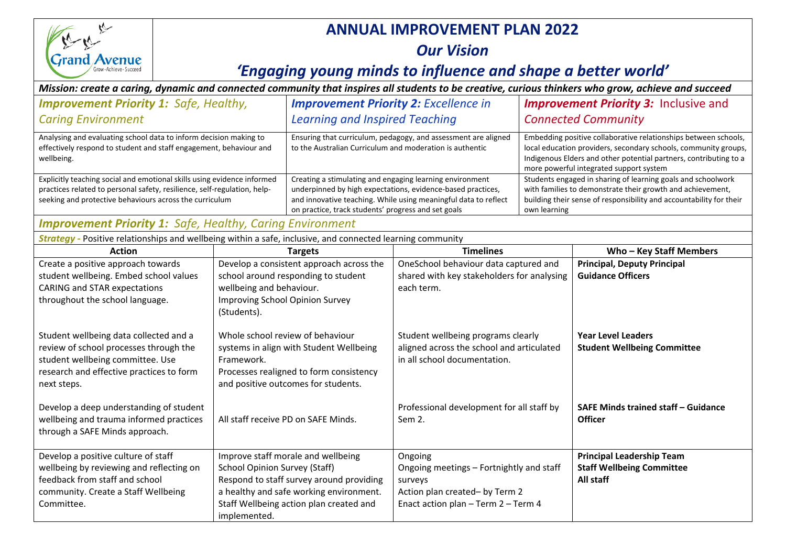

## **ANNUAL IMPROVEMENT PLAN 2022**

## *Our Vision*

## '*Engaging young minds to influence and shape a better world'*

## *Mission: create a caring, dynamic and connected community that inspires all students to be creative, curious thinkers who grow, achieve and succeed*

| <b>Improvement Priority 1: Safe, Healthy,</b>                                                                                                                                                                  |                                                                                                                                                                                                                              | <b>Improvement Priority 2: Excellence in</b>                                                                                                                                                                                                      |                                                                                                                                         | <b>Improvement Priority 3: Inclusive and</b>                                                                                                                                                                                                       |                                                                                   |
|----------------------------------------------------------------------------------------------------------------------------------------------------------------------------------------------------------------|------------------------------------------------------------------------------------------------------------------------------------------------------------------------------------------------------------------------------|---------------------------------------------------------------------------------------------------------------------------------------------------------------------------------------------------------------------------------------------------|-----------------------------------------------------------------------------------------------------------------------------------------|----------------------------------------------------------------------------------------------------------------------------------------------------------------------------------------------------------------------------------------------------|-----------------------------------------------------------------------------------|
| <b>Caring Environment</b>                                                                                                                                                                                      |                                                                                                                                                                                                                              | <b>Learning and Inspired Teaching</b>                                                                                                                                                                                                             |                                                                                                                                         | <b>Connected Community</b>                                                                                                                                                                                                                         |                                                                                   |
| Analysing and evaluating school data to inform decision making to<br>effectively respond to student and staff engagement, behaviour and<br>wellbeing.                                                          |                                                                                                                                                                                                                              | Ensuring that curriculum, pedagogy, and assessment are aligned<br>to the Australian Curriculum and moderation is authentic                                                                                                                        |                                                                                                                                         | Embedding positive collaborative relationships between schools,<br>local education providers, secondary schools, community groups,<br>Indigenous Elders and other potential partners, contributing to a<br>more powerful integrated support system |                                                                                   |
| Explicitly teaching social and emotional skills using evidence informed<br>practices related to personal safety, resilience, self-regulation, help-<br>seeking and protective behaviours across the curriculum |                                                                                                                                                                                                                              | Creating a stimulating and engaging learning environment<br>underpinned by high expectations, evidence-based practices,<br>and innovative teaching. While using meaningful data to reflect<br>on practice, track students' progress and set goals |                                                                                                                                         | Students engaged in sharing of learning goals and schoolwork<br>with families to demonstrate their growth and achievement,<br>building their sense of responsibility and accountability for their<br>own learning                                  |                                                                                   |
| <b>Improvement Priority 1: Safe, Healthy, Caring Environment</b>                                                                                                                                               |                                                                                                                                                                                                                              |                                                                                                                                                                                                                                                   |                                                                                                                                         |                                                                                                                                                                                                                                                    |                                                                                   |
| Strategy - Positive relationships and wellbeing within a safe, inclusive, and connected learning community                                                                                                     |                                                                                                                                                                                                                              |                                                                                                                                                                                                                                                   |                                                                                                                                         |                                                                                                                                                                                                                                                    |                                                                                   |
| <b>Action</b>                                                                                                                                                                                                  |                                                                                                                                                                                                                              | <b>Targets</b>                                                                                                                                                                                                                                    | <b>Timelines</b>                                                                                                                        |                                                                                                                                                                                                                                                    | Who - Key Staff Members                                                           |
| Create a positive approach towards<br>student wellbeing. Embed school values<br><b>CARING and STAR expectations</b><br>throughout the school language.                                                         | Develop a consistent approach across the<br>school around responding to student<br>wellbeing and behaviour.<br>Improving School Opinion Survey<br>(Students).                                                                |                                                                                                                                                                                                                                                   | OneSchool behaviour data captured and<br>shared with key stakeholders for analysing<br>each term.                                       |                                                                                                                                                                                                                                                    | <b>Principal, Deputy Principal</b><br><b>Guidance Officers</b>                    |
| Student wellbeing data collected and a<br>review of school processes through the<br>student wellbeing committee. Use<br>research and effective practices to form<br>next steps.                                | Whole school review of behaviour<br>systems in align with Student Wellbeing<br>Framework.<br>Processes realigned to form consistency<br>and positive outcomes for students.                                                  |                                                                                                                                                                                                                                                   | Student wellbeing programs clearly<br>aligned across the school and articulated<br>in all school documentation.                         |                                                                                                                                                                                                                                                    | <b>Year Level Leaders</b><br><b>Student Wellbeing Committee</b>                   |
| Develop a deep understanding of student<br>wellbeing and trauma informed practices<br>through a SAFE Minds approach.                                                                                           | All staff receive PD on SAFE Minds.                                                                                                                                                                                          |                                                                                                                                                                                                                                                   | Professional development for all staff by<br>Sem 2.                                                                                     |                                                                                                                                                                                                                                                    | SAFE Minds trained staff - Guidance<br><b>Officer</b>                             |
| Develop a positive culture of staff<br>wellbeing by reviewing and reflecting on<br>feedback from staff and school<br>community. Create a Staff Wellbeing<br>Committee.                                         | Improve staff morale and wellbeing<br><b>School Opinion Survey (Staff)</b><br>Respond to staff survey around providing<br>a healthy and safe working environment.<br>Staff Wellbeing action plan created and<br>implemented. |                                                                                                                                                                                                                                                   | Ongoing<br>Ongoing meetings - Fortnightly and staff<br>surveys<br>Action plan created- by Term 2<br>Enact action plan - Term 2 - Term 4 |                                                                                                                                                                                                                                                    | <b>Principal Leadership Team</b><br><b>Staff Wellbeing Committee</b><br>All staff |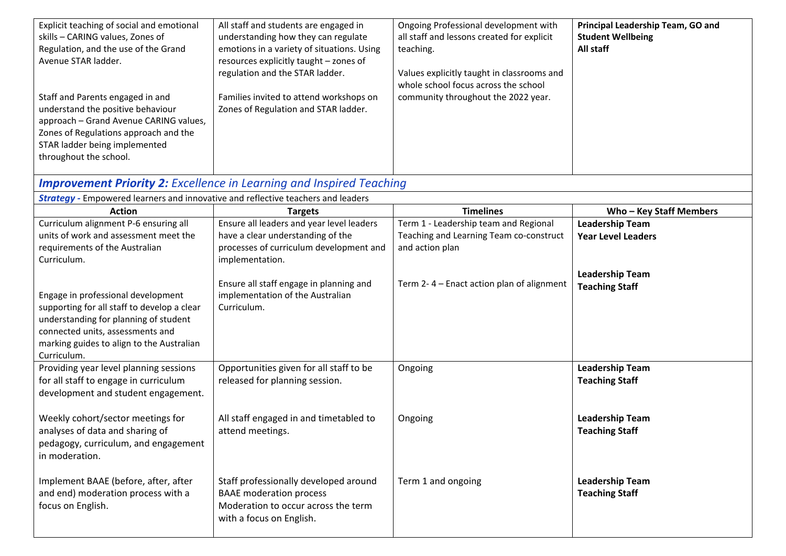| Explicit teaching of social and emotional<br>skills - CARING values, Zones of<br>Regulation, and the use of the Grand<br>Avenue STAR ladder.<br>Staff and Parents engaged in and<br>understand the positive behaviour<br>approach - Grand Avenue CARING values,<br>Zones of Regulations approach and the<br>STAR ladder being implemented<br>throughout the school. | All staff and students are engaged in<br>understanding how they can regulate<br>emotions in a variety of situations. Using<br>resources explicitly taught - zones of<br>regulation and the STAR ladder.<br>Families invited to attend workshops on<br>Zones of Regulation and STAR ladder. | Ongoing Professional development with<br>all staff and lessons created for explicit<br>teaching.<br>Values explicitly taught in classrooms and<br>whole school focus across the school<br>community throughout the 2022 year. | Principal Leadership Team, GO and<br><b>Student Wellbeing</b><br>All staff |
|---------------------------------------------------------------------------------------------------------------------------------------------------------------------------------------------------------------------------------------------------------------------------------------------------------------------------------------------------------------------|--------------------------------------------------------------------------------------------------------------------------------------------------------------------------------------------------------------------------------------------------------------------------------------------|-------------------------------------------------------------------------------------------------------------------------------------------------------------------------------------------------------------------------------|----------------------------------------------------------------------------|
| <b>Strategy</b> - Empowered learners and innovative and reflective teachers and leaders                                                                                                                                                                                                                                                                             | <b>Improvement Priority 2:</b> Excellence in Learning and Inspired Teaching                                                                                                                                                                                                                |                                                                                                                                                                                                                               |                                                                            |
| <b>Action</b>                                                                                                                                                                                                                                                                                                                                                       | <b>Targets</b>                                                                                                                                                                                                                                                                             | <b>Timelines</b>                                                                                                                                                                                                              | Who - Key Staff Members                                                    |
| Curriculum alignment P-6 ensuring all                                                                                                                                                                                                                                                                                                                               | Ensure all leaders and year level leaders                                                                                                                                                                                                                                                  | Term 1 - Leadership team and Regional                                                                                                                                                                                         | <b>Leadership Team</b>                                                     |
| units of work and assessment meet the                                                                                                                                                                                                                                                                                                                               | have a clear understanding of the                                                                                                                                                                                                                                                          | Teaching and Learning Team co-construct                                                                                                                                                                                       | <b>Year Level Leaders</b>                                                  |
| requirements of the Australian                                                                                                                                                                                                                                                                                                                                      | processes of curriculum development and                                                                                                                                                                                                                                                    | and action plan                                                                                                                                                                                                               |                                                                            |
| Curriculum.                                                                                                                                                                                                                                                                                                                                                         | implementation.                                                                                                                                                                                                                                                                            |                                                                                                                                                                                                                               |                                                                            |
| Engage in professional development<br>supporting for all staff to develop a clear<br>understanding for planning of student<br>connected units, assessments and<br>marking guides to align to the Australian<br>Curriculum.                                                                                                                                          | Ensure all staff engage in planning and<br>implementation of the Australian<br>Curriculum.                                                                                                                                                                                                 | Term 2-4 - Enact action plan of alignment                                                                                                                                                                                     | <b>Leadership Team</b><br><b>Teaching Staff</b>                            |
| Providing year level planning sessions                                                                                                                                                                                                                                                                                                                              | Opportunities given for all staff to be                                                                                                                                                                                                                                                    | Ongoing                                                                                                                                                                                                                       | <b>Leadership Team</b>                                                     |
| for all staff to engage in curriculum<br>development and student engagement.<br>Weekly cohort/sector meetings for<br>analyses of data and sharing of<br>pedagogy, curriculum, and engagement<br>in moderation.                                                                                                                                                      | released for planning session.<br>All staff engaged in and timetabled to<br>attend meetings.                                                                                                                                                                                               | Ongoing                                                                                                                                                                                                                       | <b>Teaching Staff</b><br><b>Leadership Team</b><br><b>Teaching Staff</b>   |
| Implement BAAE (before, after, after<br>and end) moderation process with a<br>focus on English.                                                                                                                                                                                                                                                                     | Staff professionally developed around<br><b>BAAE</b> moderation process<br>Moderation to occur across the term<br>with a focus on English.                                                                                                                                                 | Term 1 and ongoing                                                                                                                                                                                                            | <b>Leadership Team</b><br><b>Teaching Staff</b>                            |